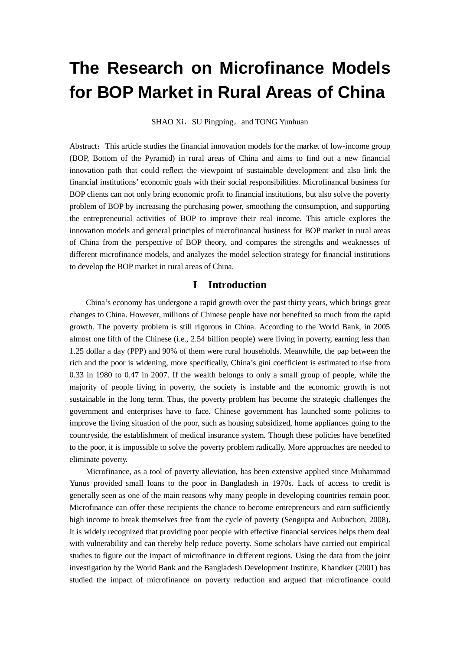# **The Research on Microfinance Models for BOP Market in Rural Areas of China**

SHAO Xi, SU Pingping, and TONG Yunhuan

Abstract: This article studies the financial innovation models for the market of low-income group (BOP, Bottom of the Pyramid) in rural areas of China and aims to find out a new financial innovation path that could reflect the viewpoint of sustainable development and also link the financial institutions' economic goals with their social responsibilities. Microfinancal business for BOP clients can not only bring economic profit to financial institutions, but also solve the poverty problem of BOP by increasing the purchasing power, smoothing the consumption, and supporting the entrepreneurial activities of BOP to improve their real income. This article explores the innovation models and general principles of microfinancal business for BOP market in rural areas of China from the perspective of BOP theory, and compares the strengths and weaknesses of different microfinance models, and analyzes the model selection strategy for financial institutions to develop the BOP market in rural areas of China.

# **I Introduction**

China's economy has undergone a rapid growth over the past thirty years, which brings great changes to China. However, millions of Chinese people have not benefited so much from the rapid growth. The poverty problem is still rigorous in China. According to the World Bank, in 2005 almost one fifth of the Chinese (i.e., 2.54 billion people) were living in poverty, earning less than 1.25 dollar a day (PPP) and 90% of them were rural households. Meanwhile, the pap between the rich and the poor is widening, more specifically, China's gini coefficient is estimated to rise from 0.33 in 1980 to 0.47 in 2007. If the wealth belongs to only a small group of people, while the majority of people living in poverty, the society is instable and the economic growth is not sustainable in the long term. Thus, the poverty problem has become the strategic challenges the government and enterprises have to face. Chinese government has launched some policies to improve the living situation of the poor, such as housing subsidized, home appliances going to the countryside, the establishment of medical insurance system. Though these policies have benefited to the poor, it is impossible to solve the poverty problem radically. More approaches are needed to eliminate poverty.

Microfinance, as a tool of poverty alleviation, has been extensive applied since Muhammad Yunus provided small loans to the poor in Bangladesh in 1970s. Lack of access to credit is generally seen as one of the main reasons why many people in developing countries remain poor. Microfinance can offer these recipients the chance to become entrepreneurs and earn sufficiently high income to break themselves free from the cycle of poverty (Sengupta and Aubuchon, 2008). It is widely recognized that providing poor people with effective financial services helps them deal with vulnerability and can thereby help reduce poverty. Some scholars have carried out empirical studies to figure out the impact of microfinance in different regions. Using the data from the joint investigation by the World Bank and the Bangladesh Development Institute, Khandker (2001) has studied the impact of microfinance on poverty reduction and argued that microfinance could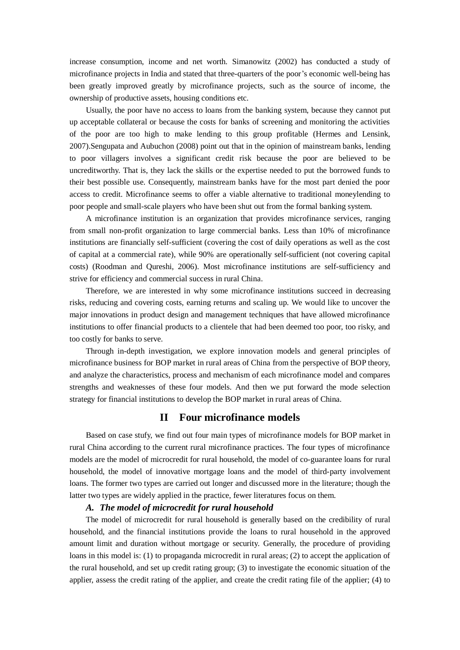increase consumption, income and net worth. Simanowitz (2002) has conducted a study of microfinance projects in India and stated that three-quarters of the poor's economic well-being has been greatly improved greatly by microfinance projects, such as the source of income, the ownership of productive assets, housing conditions etc.

Usually, the poor have no access to loans from the banking system, because they cannot put up acceptable collateral or because the costs for banks of screening and monitoring the activities of the poor are too high to make lending to this group profitable (Hermes and Lensink, 2007).Sengupata and Aubuchon (2008) point out that in the opinion of mainstream banks, lending to poor villagers involves a significant credit risk because the poor are believed to be uncreditworthy. That is, they lack the skills or the expertise needed to put the borrowed funds to their best possible use. Consequently, mainstream banks have for the most part denied the poor access to credit. Microfinance seems to offer a viable alternative to traditional moneylending to poor people and small-scale players who have been shut out from the formal banking system.

A microfinance institution is an organization that provides microfinance services, ranging from small non-profit organization to large commercial banks. Less than 10% of microfinance institutions are financially self-sufficient (covering the cost of daily operations as well as the cost of capital at a commercial rate), while 90% are operationally self-sufficient (not covering capital costs) (Roodman and Qureshi, 2006). Most microfinance institutions are self-sufficiency and strive for efficiency and commercial success in rural China.

Therefore, we are interested in why some microfinance institutions succeed in decreasing risks, reducing and covering costs, earning returns and scaling up. We would like to uncover the major innovations in product design and management techniques that have allowed microfinance institutions to offer financial products to a clientele that had been deemed too poor, too risky, and too costly for banks to serve.

Through in-depth investigation, we explore innovation models and general principles of microfinance business for BOP market in rural areas of China from the perspective of BOP theory, and analyze the characteristics, process and mechanism of each microfinance model and compares strengths and weaknesses of these four models. And then we put forward the mode selection strategy for financial institutions to develop the BOP market in rural areas of China.

## **II Four microfinance models**

Based on case stufy, we find out four main types of microfinance models for BOP market in rural China according to the current rural microfinance practices. The four types of microfinance models are the model of microcredit for rural household, the model of co-guarantee loans for rural household, the model of innovative mortgage loans and the model of third-party involvement loans. The former two types are carried out longer and discussed more in the literature; though the latter two types are widely applied in the practice, fewer literatures focus on them.

### *A. The model of microcredit for rural household*

The model of microcredit for rural household is generally based on the credibility of rural household, and the financial institutions provide the loans to rural household in the approved amount limit and duration without mortgage or security. Generally, the procedure of providing loans in this model is: (1) to propaganda microcredit in rural areas; (2) to accept the application of the rural household, and set up credit rating group; (3) to investigate the economic situation of the applier, assess the credit rating of the applier, and create the credit rating file of the applier; (4) to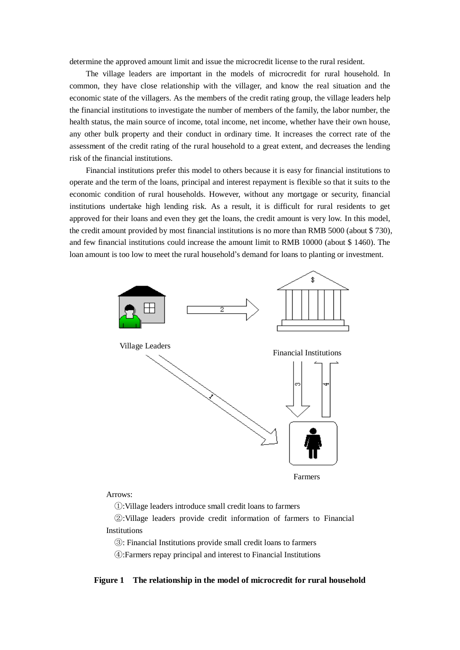determine the approved amount limit and issue the microcredit license to the rural resident.

The village leaders are important in the models of microcredit for rural household. In common, they have close relationship with the villager, and know the real situation and the economic state of the villagers. As the members of the credit rating group, the village leaders help the financial institutions to investigate the number of members of the family, the labor number, the health status, the main source of income, total income, net income, whether have their own house, any other bulk property and their conduct in ordinary time. It increases the correct rate of the assessment of the credit rating of the rural household to a great extent, and decreases the lending risk of the financial institutions.

Financial institutions prefer this model to others because it is easy for financial institutions to operate and the term of the loans, principal and interest repayment is flexible so that it suits to the economic condition of rural households. However, without any mortgage or security, financial institutions undertake high lending risk. As a result, it is difficult for rural residents to get approved for their loans and even they get the loans, the credit amount is very low. In this model, the credit amount provided by most financial institutions is no more than RMB 5000 (about \$ 730), and few financial institutions could increase the amount limit to RMB 10000 (about \$ 1460). The loan amount is too low to meet the rural household's demand for loans to planting or investment.



## Arrows:

①:Village leaders introduce small credit loans to farmers

 ②:Village leaders provide credit information of farmers to Financial **Institutions** 

③: Financial Institutions provide small credit loans to farmers

④:Farmers repay principal and interest to Financial Institutions

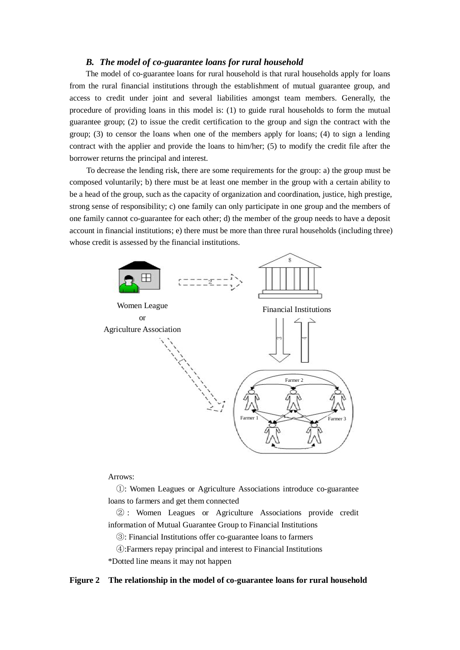## *B. The model of co-guarantee loans for rural household*

The model of co-guarantee loans for rural household is that rural households apply for loans from the rural financial institutions through the establishment of mutual guarantee group, and access to credit under joint and several liabilities amongst team members. Generally, the procedure of providing loans in this model is: (1) to guide rural households to form the mutual guarantee group; (2) to issue the credit certification to the group and sign the contract with the group; (3) to censor the loans when one of the members apply for loans; (4) to sign a lending contract with the applier and provide the loans to him/her; (5) to modify the credit file after the borrower returns the principal and interest.

To decrease the lending risk, there are some requirements for the group: a) the group must be composed voluntarily; b) there must be at least one member in the group with a certain ability to be a head of the group, such as the capacity of organization and coordination, justice, high prestige, strong sense of responsibility; c) one family can only participate in one group and the members of one family cannot co-guarantee for each other; d) the member of the group needs to have a deposit account in financial institutions; e) there must be more than three rural households (including three) whose credit is assessed by the financial institutions.



#### Arrows:

 ①: Women Leagues or Agriculture Associations introduce co-guarantee loans to farmers and get them connected

 ② : Women Leagues or Agriculture Associations provide credit information of Mutual Guarantee Group to Financial Institutions

Mutual Guarantee Group ③: Financial Institutions offer co-guarantee loans to farmers

 ④:Farmers repay principal and interest to Financial Institutions \*Dotted line means it may not happen

#### **Figure 2 The relationship in the model of co-guarantee loans for rural household**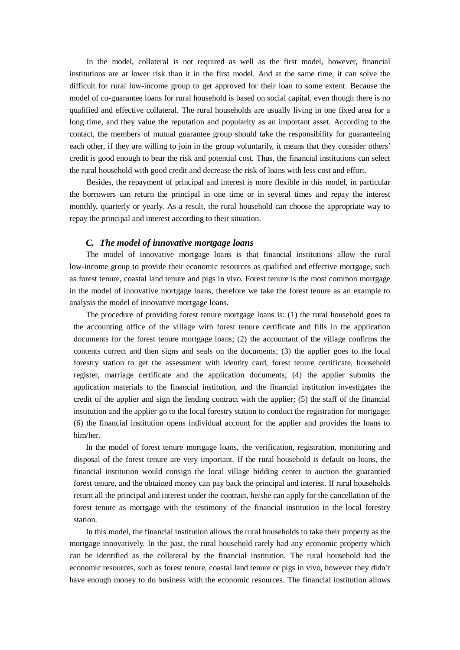In the model, collateral is not required as well as the first model, however, financial institutions are at lower risk than it in the first model. And at the same time, it can solve the difficult for rural low-income group to get approved for their loan to some extent. Because the model of co-guarantee loans for rural household is based on social capital, even though there is no qualified and effective collateral. The rural households are usually living in one fixed area for a long time, and they value the reputation and popularity as an important asset. According to the contact, the members of mutual guarantee group should take the responsibility for guaranteeing each other, if they are willing to join in the group voluntarily, it means that they consider others' credit is good enough to bear the risk and potential cost. Thus, the financial institutions can select the rural household with good credit and decrease the risk of loans with less cost and effort.

Besides, the repayment of principal and interest is more flexible in this model, in particular the borrowers can return the principal in one time or in several times and repay the interest monthly, quarterly or yearly. As a result, the rural household can choose the appropriate way to repay the principal and interest according to their situation.

### *C. The model of innovative mortgage loans*

The model of innovative mortgage loans is that financial institutions allow the rural low-income group to provide their economic resources as qualified and effective mortgage, such as forest tenure, coastal land tenure and pigs in vivo. Forest tenure is the most common mortgage in the model of innovative mortgage loans, therefore we take the forest tenure as an example to analysis the model of innovative mortgage loans.

The procedure of providing forest tenure mortgage loans is: (1) the rural household goes to the accounting office of the village with forest tenure certificate and fills in the application documents for the forest tenure mortgage loans; (2) the accountant of the village confirms the contents correct and then signs and seals on the documents; (3) the applier goes to the local forestry station to get the assessment with identity card, forest tenure certificate, household register, marriage certificate and the application documents; (4) the applier submits the application materials to the financial institution, and the financial institution investigates the credit of the applier and sign the lending contract with the applier; (5) the staff of the financial institution and the applier go to the local forestry station to conduct the registration for mortgage; (6) the financial institution opens individual account for the applier and provides the loans to him/her.

In the model of forest tenure mortgage loans, the verification, registration, monitoring and disposal of the forest tenure are very important. If the rural household is default on loans, the financial institution would consign the local village bidding center to auction the guarantied forest tenure, and the obtained money can pay back the principal and interest. If rural households return all the principal and interest under the contract, he/she can apply for the cancellation of the forest tenure as mortgage with the testimony of the financial institution in the local forestry station.

In this model, the financial institution allows the rural households to take their property as the mortgage innovatively. In the past, the rural household rarely had any economic property which can be identified as the collateral by the financial institution. The rural household had the economic resources, such as forest tenure, coastal land tenure or pigs in vivo, however they didn't have enough money to do business with the economic resources. The financial institution allows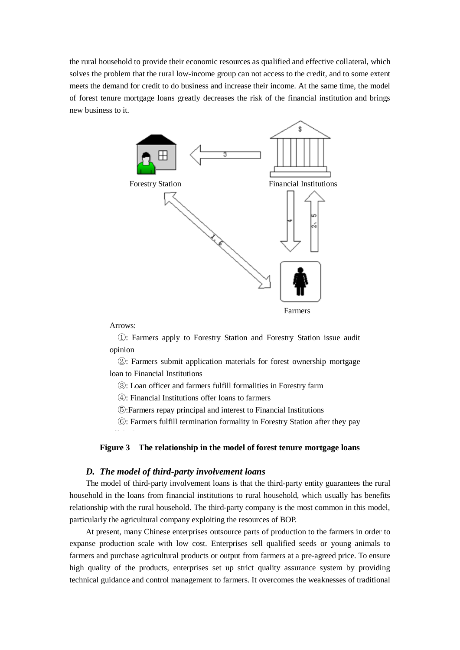the rural household to provide their economic resources as qualified and effective collateral, which solves the problem that the rural low-income group can not access to the credit, and to some extent meets the demand for credit to do business and increase their income. At the same time, the model of forest tenure mortgage loans greatly decreases the risk of the financial institution and brings new business to it.



Arrows:

off the loan

 ①: Farmers apply to Forestry Station and Forestry Station issue audit opinion

 ②: Farmers submit application materials for forest ownership mortgage loan to Financial Institutions

③: Loan officer and farmers fulfill formalities in Forestry farm

④: Financial Institutions offer loans to farmers

⑤:Farmers repay principal and interest to Financial Institutions

⑥: Farmers fulfill termination formality in Forestry Station after they pay

## **Figure 3 The relationship in the model of forest tenure mortgage loans**

## *D. The model of third-party involvement loans*

The model of third-party involvement loans is that the third-party entity guarantees the rural household in the loans from financial institutions to rural household, which usually has benefits relationship with the rural household. The third-party company is the most common in this model, particularly the agricultural company exploiting the resources of BOP.

At present, many Chinese enterprises outsource parts of production to the farmers in order to expanse production scale with low cost. Enterprises sell qualified seeds or young animals to farmers and purchase agricultural products or output from farmers at a pre-agreed price. To ensure high quality of the products, enterprises set up strict quality assurance system by providing technical guidance and control management to farmers. It overcomes the weaknesses of traditional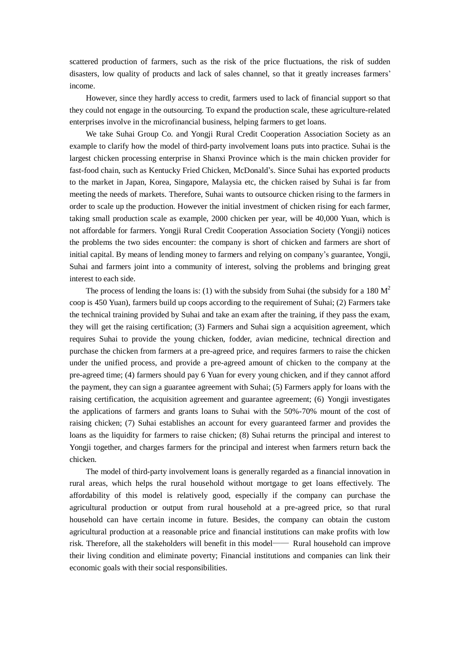scattered production of farmers, such as the risk of the price fluctuations, the risk of sudden disasters, low quality of products and lack of sales channel, so that it greatly increases farmers' income.

However, since they hardly access to credit, farmers used to lack of financial support so that they could not engage in the outsourcing. To expand the production scale, these agriculture-related enterprises involve in the microfinancial business, helping farmers to get loans.

We take Suhai Group Co. and Yongji Rural Credit Cooperation Association Society as an example to clarify how the model of third-party involvement loans puts into practice. Suhai is the largest chicken processing enterprise in Shanxi Province which is the main chicken provider for fast-food chain, such as Kentucky Fried Chicken, McDonald's. Since Suhai has exported products to the market in Japan, Korea, Singapore, Malaysia etc, the chicken raised by Suhai is far from meeting the needs of markets. Therefore, Suhai wants to outsource chicken rising to the farmers in order to scale up the production. However the initial investment of chicken rising for each farmer, taking small production scale as example, 2000 chicken per year, will be 40,000 Yuan, which is not affordable for farmers. Yongji Rural Credit Cooperation Association Society (Yongji) notices the problems the two sides encounter: the company is short of chicken and farmers are short of initial capital. By means of lending money to farmers and relying on company's guarantee, Yongji, Suhai and farmers joint into a community of interest, solving the problems and bringing great interest to each side.

The process of lending the loans is: (1) with the subsidy from Suhai (the subsidy for a 180  $\text{M}^2$ coop is 450 Yuan), farmers build up coops according to the requirement of Suhai; (2) Farmers take the technical training provided by Suhai and take an exam after the training, if they pass the exam, they will get the raising certification; (3) Farmers and Suhai sign a acquisition agreement, which requires Suhai to provide the young chicken, fodder, avian medicine, technical direction and purchase the chicken from farmers at a pre-agreed price, and requires farmers to raise the chicken under the unified process, and provide a pre-agreed amount of chicken to the company at the pre-agreed time; (4) farmers should pay 6 Yuan for every young chicken, and if they cannot afford the payment, they can sign a guarantee agreement with Suhai; (5) Farmers apply for loans with the raising certification, the acquisition agreement and guarantee agreement; (6) Yongji investigates the applications of farmers and grants loans to Suhai with the 50%-70% mount of the cost of raising chicken; (7) Suhai establishes an account for every guaranteed farmer and provides the loans as the liquidity for farmers to raise chicken; (8) Suhai returns the principal and interest to Yongji together, and charges farmers for the principal and interest when farmers return back the chicken.

The model of third-party involvement loans is generally regarded as a financial innovation in rural areas, which helps the rural household without mortgage to get loans effectively. The affordability of this model is relatively good, especially if the company can purchase the agricultural production or output from rural household at a pre-agreed price, so that rural household can have certain income in future. Besides, the company can obtain the custom agricultural production at a reasonable price and financial institutions can make profits with low risk. Therefore, all the stakeholders will benefit in this model—— Rural household can improve their living condition and eliminate poverty; Financial institutions and companies can link their economic goals with their social responsibilities.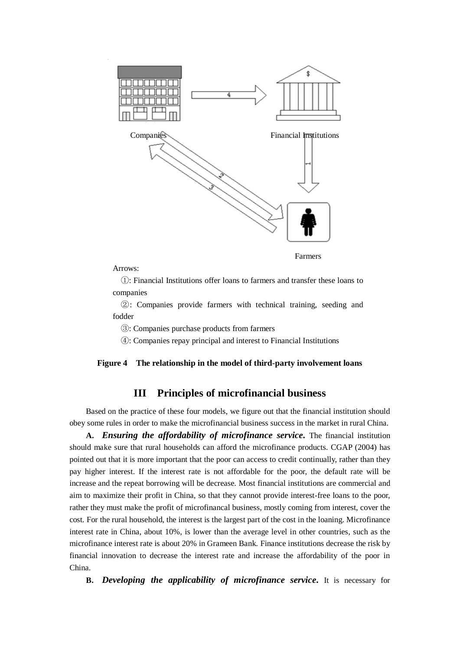

Farmers

#### Arrows:

 ①: Financial Institutions offer loans to farmers and transfer these loans to companies

 ②: Companies provide farmers with technical training, seeding and fodder

③: Companies purchase products from farmers

④: Companies repay principal and interest to Financial Institutions

#### **Figure 4 The relationship in the model of third-party involvement loans**

# **III Principles of microfinancial business**

Based on the practice of these four models, we figure out that the financial institution should obey some rules in order to make the microfinancial business success in the market in rural China.

**A.** *Ensuring the affordability of microfinance service.* The financial institution should make sure that rural households can afford the microfinance products. CGAP (2004) has pointed out that it is more important that the poor can access to credit continually, rather than they pay higher interest. If the interest rate is not affordable for the poor, the default rate will be increase and the repeat borrowing will be decrease. Most financial institutions are commercial and aim to maximize their profit in China, so that they cannot provide interest-free loans to the poor, rather they must make the profit of microfinancal business, mostly coming from interest, cover the cost. For the rural household, the interest is the largest part of the cost in the loaning. Microfinance interest rate in China, about 10%, is lower than the average level in other countries, such as the microfinance interest rate is about 20% in Grameen Bank. Finance institutions decrease the risk by financial innovation to decrease the interest rate and increase the affordability of the poor in China.

**B.** *Developing the applicability of microfinance service.* It is necessary for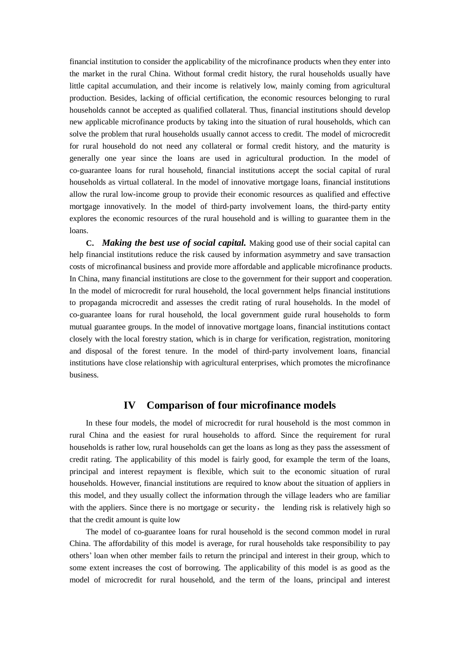financial institution to consider the applicability of the microfinance products when they enter into the market in the rural China. Without formal credit history, the rural households usually have little capital accumulation, and their income is relatively low, mainly coming from agricultural production. Besides, lacking of official certification, the economic resources belonging to rural households cannot be accepted as qualified collateral. Thus, financial institutions should develop new applicable microfinance products by taking into the situation of rural households, which can solve the problem that rural households usually cannot access to credit. The model of microcredit for rural household do not need any collateral or formal credit history, and the maturity is generally one year since the loans are used in agricultural production. In the model of co-guarantee loans for rural household, financial institutions accept the social capital of rural households as virtual collateral. In the model of innovative mortgage loans, financial institutions allow the rural low-income group to provide their economic resources as qualified and effective mortgage innovatively. In the model of third-party involvement loans, the third-party entity explores the economic resources of the rural household and is willing to guarantee them in the loans.

**C.** *Making the best use of social capital.* Making good use of their social capital can help financial institutions reduce the risk caused by information asymmetry and save transaction costs of microfinancal business and provide more affordable and applicable microfinance products. In China, many financial institutions are close to the government for their support and cooperation. In the model of microcredit for rural household, the local government helps financial institutions to propaganda microcredit and assesses the credit rating of rural households. In the model of co-guarantee loans for rural household, the local government guide rural households to form mutual guarantee groups. In the model of innovative mortgage loans, financial institutions contact closely with the local forestry station, which is in charge for verification, registration, monitoring and disposal of the forest tenure. In the model of third-party involvement loans, financial institutions have close relationship with agricultural enterprises, which promotes the microfinance business.

# **IV Comparison of four microfinance models**

In these four models, the model of microcredit for rural household is the most common in rural China and the easiest for rural households to afford. Since the requirement for rural households is rather low, rural households can get the loans as long as they pass the assessment of credit rating. The applicability of this model is fairly good, for example the term of the loans, principal and interest repayment is flexible, which suit to the economic situation of rural households. However, financial institutions are required to know about the situation of appliers in this model, and they usually collect the information through the village leaders who are familiar with the appliers. Since there is no mortgage or security, the lending risk is relatively high so that the credit amount is quite low

The model of co-guarantee loans for rural household is the second common model in rural China. The affordability of this model is average, for rural households take responsibility to pay others' loan when other member fails to return the principal and interest in their group, which to some extent increases the cost of borrowing. The applicability of this model is as good as the model of microcredit for rural household, and the term of the loans, principal and interest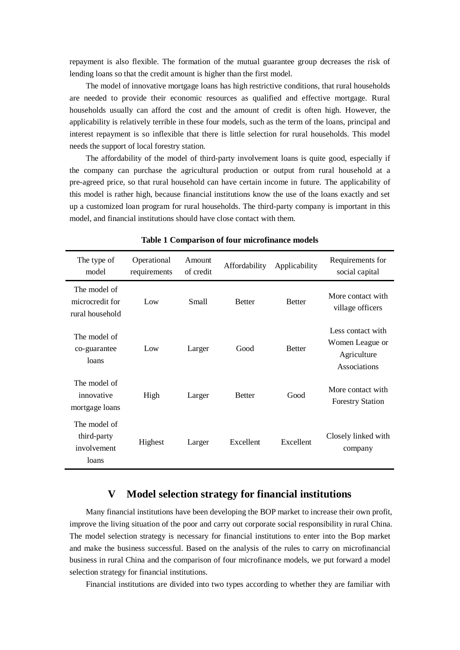repayment is also flexible. The formation of the mutual guarantee group decreases the risk of lending loans so that the credit amount is higher than the first model.

The model of innovative mortgage loans has high restrictive conditions, that rural households are needed to provide their economic resources as qualified and effective mortgage. Rural households usually can afford the cost and the amount of credit is often high. However, the applicability is relatively terrible in these four models, such as the term of the loans, principal and interest repayment is so inflexible that there is little selection for rural households. This model needs the support of local forestry station.

The affordability of the model of third-party involvement loans is quite good, especially if the company can purchase the agricultural production or output from rural household at a pre-agreed price, so that rural household can have certain income in future. The applicability of this model is rather high, because financial institutions know the use of the loans exactly and set up a customized loan program for rural households. The third-party company is important in this model, and financial institutions should have close contact with them.

| The type of<br>model                                | Operational<br>requirements | Amount<br>of credit | Affordability | Applicability | Requirements for<br>social capital                                  |
|-----------------------------------------------------|-----------------------------|---------------------|---------------|---------------|---------------------------------------------------------------------|
| The model of<br>microcredit for<br>rural household  | Low                         | Small               | <b>Better</b> | <b>Better</b> | More contact with<br>village officers                               |
| The model of<br>co-guarantee<br>loans               | Low                         | Larger              | Good          | <b>Better</b> | Less contact with<br>Women League or<br>Agriculture<br>Associations |
| The model of<br>innovative<br>mortgage loans        | High                        | Larger              | <b>Better</b> | Good          | More contact with<br><b>Forestry Station</b>                        |
| The model of<br>third-party<br>involvement<br>loans | Highest                     | Larger              | Excellent     | Excellent     | Closely linked with<br>company                                      |

**Table 1 Comparison of four microfinance models**

# **V Model selection strategy for financial institutions**

Many financial institutions have been developing the BOP market to increase their own profit, improve the living situation of the poor and carry out corporate social responsibility in rural China. The model selection strategy is necessary for financial institutions to enter into the Bop market and make the business successful. Based on the analysis of the rules to carry on microfinancial business in rural China and the comparison of four microfinance models, we put forward a model selection strategy for financial institutions.

Financial institutions are divided into two types according to whether they are familiar with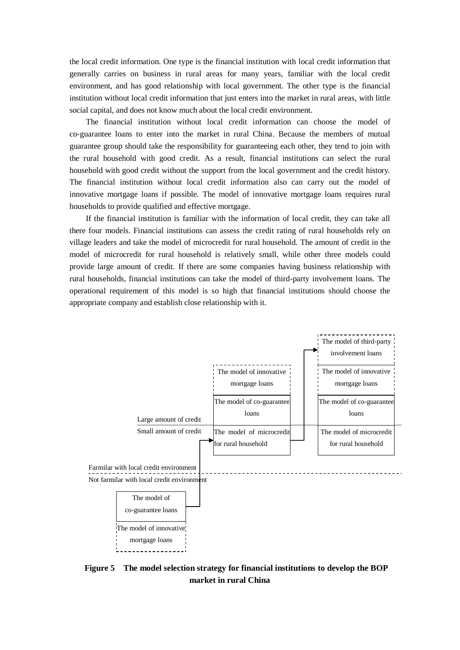the local credit information. One type is the financial institution with local credit information that generally carries on business in rural areas for many years, familiar with the local credit environment, and has good relationship with local government. The other type is the financial institution without local credit information that just enters into the market in rural areas, with little social capital, and does not know much about the local credit environment.

The financial institution without local credit information can choose the model of co-guarantee loans to enter into the market in rural China. Because the members of mutual guarantee group should take the responsibility for guaranteeing each other, they tend to join with the rural household with good credit. As a result, financial institutions can select the rural household with good credit without the support from the local government and the credit history. The financial institution without local credit information also can carry out the model of innovative mortgage loans if possible. The model of innovative mortgage loans requires rural households to provide qualified and effective mortgage.

If the financial institution is familiar with the information of local credit, they can take all there four models. Financial institutions can assess the credit rating of rural households rely on village leaders and take the model of microcredit for rural household. The amount of credit in the model of microcredit for rural household is relatively small, while other three models could provide large amount of credit. If there are some companies having business relationship with rural households, financial institutions can take the model of third-party involvement loans. The operational requirement of this model is so high that financial institutions should choose the appropriate company and establish close relationship with it.



 **Figure 5 The model selection strategy for financial institutions to develop the BOP market in rural China**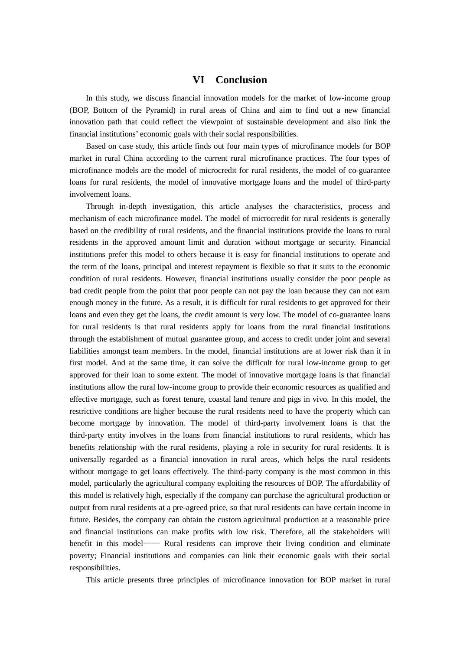# **VI Conclusion**

In this study, we discuss financial innovation models for the market of low-income group (BOP, Bottom of the Pyramid) in rural areas of China and aim to find out a new financial innovation path that could reflect the viewpoint of sustainable development and also link the financial institutions' economic goals with their social responsibilities.

Based on case study, this article finds out four main types of microfinance models for BOP market in rural China according to the current rural microfinance practices. The four types of microfinance models are the model of microcredit for rural residents, the model of co-guarantee loans for rural residents, the model of innovative mortgage loans and the model of third-party involvement loans.

Through in-depth investigation, this article analyses the characteristics, process and mechanism of each microfinance model. The model of microcredit for rural residents is generally based on the credibility of rural residents, and the financial institutions provide the loans to rural residents in the approved amount limit and duration without mortgage or security. Financial institutions prefer this model to others because it is easy for financial institutions to operate and the term of the loans, principal and interest repayment is flexible so that it suits to the economic condition of rural residents. However, financial institutions usually consider the poor people as bad credit people from the point that poor people can not pay the loan because they can not earn enough money in the future. As a result, it is difficult for rural residents to get approved for their loans and even they get the loans, the credit amount is very low. The model of co-guarantee loans for rural residents is that rural residents apply for loans from the rural financial institutions through the establishment of mutual guarantee group, and access to credit under joint and several liabilities amongst team members. In the model, financial institutions are at lower risk than it in first model. And at the same time, it can solve the difficult for rural low-income group to get approved for their loan to some extent. The model of innovative mortgage loans is that financial institutions allow the rural low-income group to provide their economic resources as qualified and effective mortgage, such as forest tenure, coastal land tenure and pigs in vivo. In this model, the restrictive conditions are higher because the rural residents need to have the property which can become mortgage by innovation. The model of third-party involvement loans is that the third-party entity involves in the loans from financial institutions to rural residents, which has benefits relationship with the rural residents, playing a role in security for rural residents. It is universally regarded as a financial innovation in rural areas, which helps the rural residents without mortgage to get loans effectively. The third-party company is the most common in this model, particularly the agricultural company exploiting the resources of BOP. The affordability of this model is relatively high, especially if the company can purchase the agricultural production or output from rural residents at a pre-agreed price, so that rural residents can have certain income in future. Besides, the company can obtain the custom agricultural production at a reasonable price and financial institutions can make profits with low risk. Therefore, all the stakeholders will benefit in this model—— Rural residents can improve their living condition and eliminate poverty; Financial institutions and companies can link their economic goals with their social responsibilities.

This article presents three principles of microfinance innovation for BOP market in rural